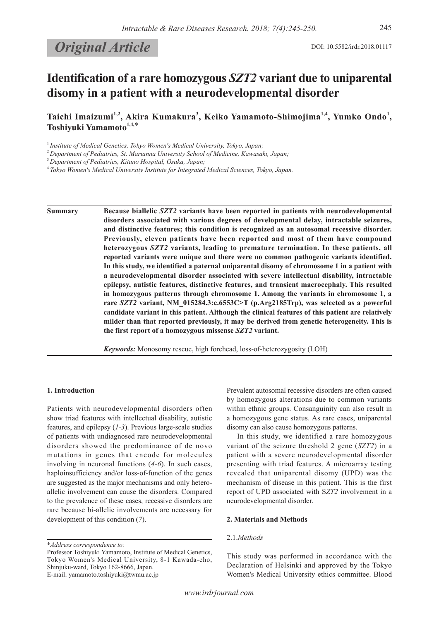# **Original Article** DOI: 10.5582/irdr.2018.01117

## **Identification of a rare homozygous** *SZT2* **variant due to uniparental disomy in a patient with a neurodevelopmental disorder**

Taichi Imaizumi<sup>1,2</sup>, Akira Kumakura<sup>3</sup>, Keiko Yamamoto-Shimojima<sup>1,4</sup>, Yumko Ondo<sup>1</sup>, **Toshiyuki Yamamoto1,4,**\*

<sup>1</sup> Institute of Medical Genetics, Tokyo Women's Medical University, Tokyo, Japan;

<sup>2</sup>*Department of Pediatrics, St. Marianna University School of Medicine, Kawasaki, Japan;*

<sup>4</sup>*Tokyo Women's Medical University Institute for Integrated Medical Sciences, Tokyo, Japan.*

**Summary Because biallelic** *SZT2* **variants have been reported in patients with neurodevelopmental disorders associated with various degrees of developmental delay, intractable seizures, and distinctive features; this condition is recognized as an autosomal recessive disorder. Previously, eleven patients have been reported and most of them have compound heterozygous** *SZT2* **variants, leading to premature termination. In these patients, all reported variants were unique and there were no common pathogenic variants identified. In this study, we identified a paternal uniparental disomy of chromosome 1 in a patient with a neurodevelopmental disorder associated with severe intellectual disability, intractable epilepsy, autistic features, distinctive features, and transient macrocephaly. This resulted in homozygous patterns through chromosome 1. Among the variants in chromosome 1, a rare** *SZT2* **variant, NM\_015284.3:c.6553C>T (p.Arg2185Trp), was selected as a powerful candidate variant in this patient. Although the clinical features of this patient are relatively milder than that reported previously, it may be derived from genetic heterogeneity. This is the first report of a homozygous missense** *SZT2* **variant.**

*Keywords:* Monosomy rescue, high forehead, loss-of-heterozygosity (LOH)

#### **1. Introduction**

Patients with neurodevelopmental disorders often show triad features with intellectual disability, autistic features, and epilepsy (*1-3*). Previous large-scale studies of patients with undiagnosed rare neurodevelopmental disorders showed the predominance of de novo mutations in genes that encode for molecules involving in neuronal functions (*4-6*). In such cases, haploinsufficiency and/or loss-of-function of the genes are suggested as the major mechanisms and only heteroallelic involvement can cause the disorders. Compared to the prevalence of these cases, recessive disorders are rare because bi-allelic involvements are necessary for development of this condition (*7*).

\**Address correspondence to:*

Professor Toshiyuki Yamamoto, Institute of Medical Genetics, Tokyo Women's Medical University, 8-1 Kawada-cho, Shinjuku-ward, Tokyo 162-8666, Japan. E-mail: yamamoto.toshiyuki@twmu.ac.jp

Prevalent autosomal recessive disorders are often caused by homozygous alterations due to common variants within ethnic groups. Consanguinity can also result in a homozygous gene status. As rare cases, uniparental disomy can also cause homozygous patterns.

In this study, we identified a rare homozygous variant of the seizure threshold 2 gene (*SZT2*) in a patient with a severe neurodevelopmental disorder presenting with triad features. A microarray testing revealed that uniparental disomy (UPD) was the mechanism of disease in this patient. This is the first report of UPD associated with S*ZT2* involvement in a neurodevelopmental disorder.

#### **2. Materials and Methods**

#### 2.1.*Methods*

This study was performed in accordance with the Declaration of Helsinki and approved by the Tokyo Women's Medical University ethics committee. Blood

<sup>3</sup>*Department of Pediatrics, Kitano Hospital, Osaka, Japan;*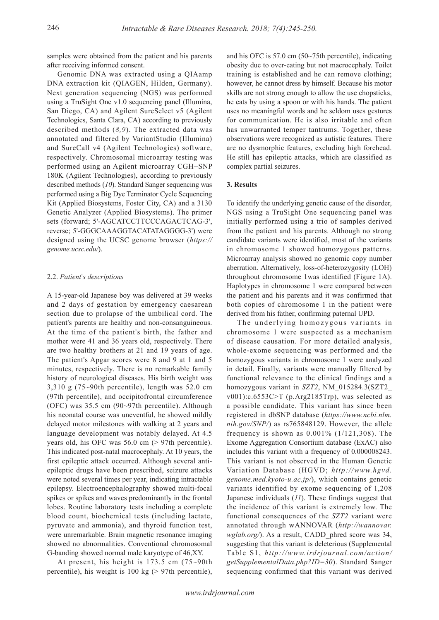samples were obtained from the patient and his parents after receiving informed consent.

Genomic DNA was extracted using a QIAamp DNA extraction kit (QIAGEN, Hilden, Germany). Next generation sequencing (NGS) was performed using a TruSight One v1.0 sequencing panel (Illumina, San Diego, CA) and Agilent SureSelect v5 (Agilent Technologies, Santa Clara, CA) according to previously described methods (*8,9*). The extracted data was annotated and filtered by VariantStudio (Illumina) and SureCall v4 (Agilent Technologies) software, respectively. Chromosomal microarray testing was performed using an Agilent microarray CGH+SNP 180K (Agilent Technologies), according to previously described methods (*10*). Standard Sanger sequencing was performed using a Big Dye Terminator Cycle Sequencing Kit (Applied Biosystems, Foster City, CA) and a 3130 Genetic Analyzer (Applied Biosystems). The primer sets (forward; 5'-AGCATCCTTCCCAGACTCAG-3', reverse; 5'-GGGCAAAGGTACATATAGGGG-3') were designed using the UCSC genome browser (*https:// genome.ucsc.edu/*).

#### 2.2. *Patient*'*s descriptions*

A 15-year-old Japanese boy was delivered at 39 weeks and 2 days of gestation by emergency caesarean section due to prolapse of the umbilical cord. The patient's parents are healthy and non-consanguineous. At the time of the patient's birth, the father and mother were 41 and 36 years old, respectively. There are two healthy brothers at 21 and 19 years of age. The patient's Apgar scores were 8 and 9 at 1 and 5 minutes, respectively. There is no remarkable family history of neurological diseases. His birth weight was 3,310 g (75~90th percentile), length was 52.0 cm (97th percentile), and occipitofrontal circumference (OFC) was 35.5 cm (90~97th percentile). Although his neonatal course was uneventful, he showed mildly delayed motor milestones with walking at 2 years and language development was notably delayed. At 4.5 years old, his OFC was 56.0 cm (> 97th percentile). This indicated post-natal macrocephaly. At 10 years, the first epileptic attack occurred. Although several antiepileptic drugs have been prescribed, seizure attacks were noted several times per year, indicating intractable epilepsy. Electroencephalography showed multi-focal spikes or spikes and waves predominantly in the frontal lobes. Routine laboratory tests including a complete blood count, biochemical tests (including lactate, pyruvate and ammonia), and thyroid function test, were unremarkable. Brain magnetic resonance imaging showed no abnormalities. Conventional chromosomal G-banding showed normal male karyotype of 46,XY.

At present, his height is 173.5 cm (75~90th percentile), his weight is 100 kg (> 97th percentile),

and his OFC is 57.0 cm (50~75th percentile), indicating obesity due to over-eating but not macrocephaly. Toilet training is established and he can remove clothing; however, he cannot dress by himself. Because his motor skills are not strong enough to allow the use chopsticks, he eats by using a spoon or with his hands. The patient uses no meaningful words and he seldom uses gestures for communication. He is also irritable and often has unwarranted temper tantrums. Together, these observations were recognized as autistic features. There are no dysmorphic features, excluding high forehead. He still has epileptic attacks, which are classified as complex partial seizures.

#### **3. Results**

To identify the underlying genetic cause of the disorder, NGS using a TruSight One sequencing panel was initially performed using a trio of samples derived from the patient and his parents. Although no strong candidate variants were identified, most of the variants in chromosome 1 showed homozygous patterns. Microarray analysis showed no genomic copy number aberration. Alternatively, loss-of-heterozygosity (LOH) throughout chromosome 1was identified (Figure 1A). Haplotypes in chromosome 1 were compared between the patient and his parents and it was confirmed that both copies of chromosome 1 in the patient were derived from his father, confirming paternal UPD.

The underlying homozygous variants in chromosome 1 were suspected as a mechanism of disease causation. For more detailed analysis, whole-exome sequencing was performed and the homozygous variants in chromosome 1 were analyzed in detail. Finally, variants were manually filtered by functional relevance to the clinical findings and a homozygous variant in *SZT2*, NM\_015284.3(SZT2\_ v001):c.6553C>T (p.Arg2185Trp), was selected as a possible candidate. This variant has since been registered in dbSNP database (*https://www.ncbi.nlm. nih.gov/SNP/*) as rs765848129. However, the allele frequency is shown as  $0.001\%$  (1/121,308). The Exome Aggregation Consortium database (ExAC) also includes this variant with a frequency of 0.000008243. This variant is not observed in the Human Genetic Variation Database (HGVD; *http://www.hgvd. genome.med.kyoto-u.ac.jp/*), which contains genetic variants identified by exome sequencing of 1,208 Japanese individuals (*11*). These findings suggest that the incidence of this variant is extremely low. The functional consequences of the *SZT2* variant were annotated through wANNOVAR (*http://wannovar. wglab.org/*). As a result, CADD\_phred score was 34, suggesting that this variant is deleterious (Supplemental Table S1, *http://www.irdrjournal.com/action/ getSupplementalData.php?ID=30*). Standard Sanger sequencing confirmed that this variant was derived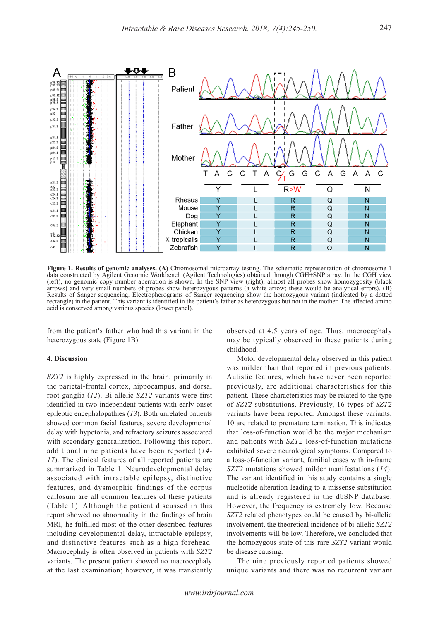

**Figure 1. Results of genomic analyses. (A)** Chromosomal microarray testing. The schematic representation of chromosome 1 data constructed by Agilent Genomic Workbench (Agilent Technologies) obtained through CGH+SNP array. In the CGH view (left), no genomic copy number aberration is shown. In the SNP view (right), almost all probes show homozygosity (black arrows) and very small numbers of probes show heterozygous patterns (a white arrow; these would be analytical errors). **(B)** Results of Sanger sequencing. Electropherograms of Sanger sequencing show the homozygous variant (indicated by a dotted rectangle) in the patient. This variant is identified in the patient's father as heterozygous but not in the mother. The affected amino acid is conserved among various species (lower panel).

from the patient's father who had this variant in the heterozygous state (Figure 1B).

#### **4. Discussion**

*SZT2* is highly expressed in the brain, primarily in the parietal-frontal cortex, hippocampus, and dorsal root ganglia (*12*). Bi-allelic *SZT2* variants were first identified in two independent patients with early-onset epileptic encephalopathies (*13*). Both unrelated patients showed common facial features, severe developmental delay with hypotonia, and refractory seizures associated with secondary generalization. Following this report, additional nine patients have been reported (*14- 17*). The clinical features of all reported patients are summarized in Table 1. Neurodevelopmental delay associated with intractable epilepsy, distinctive features, and dysmorphic findings of the corpus callosum are all common features of these patients (Table 1). Although the patient discussed in this report showed no abnormality in the findings of brain MRI, he fulfilled most of the other described features including developmental delay, intractable epilepsy, and distinctive features such as a high forehead. Macrocephaly is often observed in patients with *SZT2* variants. The present patient showed no macrocephaly at the last examination; however, it was transiently

observed at 4.5 years of age. Thus, macrocephaly may be typically observed in these patients during childhood.

Motor developmental delay observed in this patient was milder than that reported in previous patients. Autistic features, which have never been reported previously, are additional characteristics for this patient. These characteristics may be related to the type of *SZT2* substitutions. Previously, 16 types of *SZT2* variants have been reported. Amongst these variants, 10 are related to premature termination. This indicates that loss-of-function would be the major mechanism and patients with *SZT2* loss-of-function mutations exhibited severe neurological symptoms. Compared to a loss-of-function variant, familial cases with in-frame *SZT2* mutations showed milder manifestations (*14*). The variant identified in this study contains a single nucleotide alteration leading to a missense substitution and is already registered in the dbSNP database. However, the frequency is extremely low. Because *SZT2* related phenotypes could be caused by bi-allelic involvement, the theoretical incidence of bi-allelic *SZT2* involvements will be low. Therefore, we concluded that the homozygous state of this rare *SZT2* variant would be disease causing.

The nine previously reported patients showed unique variants and there was no recurrent variant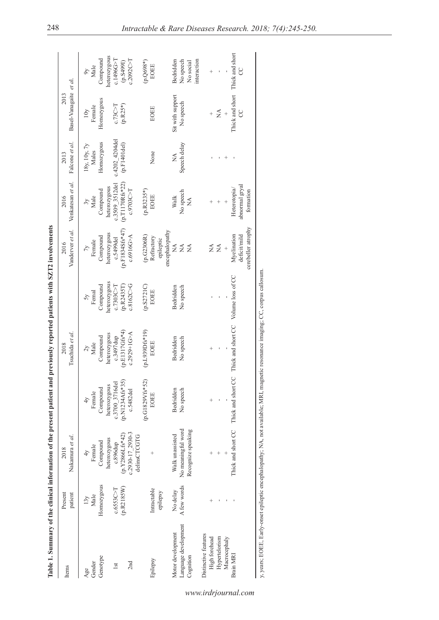|                                   |                    | Table 1. Summary of the clinical information of the present patient and previously reported patients with SZT2 involvements    |                                |                                                                            |                             |                                                   |                                             |                           |                                |                           |
|-----------------------------------|--------------------|--------------------------------------------------------------------------------------------------------------------------------|--------------------------------|----------------------------------------------------------------------------|-----------------------------|---------------------------------------------------|---------------------------------------------|---------------------------|--------------------------------|---------------------------|
| Items                             | Present<br>patient | Nakamura et al.<br>2018                                                                                                        |                                | Tsuchida et al.<br>2018                                                    |                             | Vanderver et al.<br>2016                          | Venkatesan et al.<br>2016                   | Falcone et al.<br>2013    | Basel-Vanagaite et al.<br>2013 |                           |
| Gender<br>Age                     | Male<br>13y        | Female<br>4 <sup>2</sup>                                                                                                       | Female<br>4 <sub>V</sub>       | Male<br>$\zeta$                                                            | Femal                       | Female                                            | Male                                        | 18y, 10y, 7y<br>Males     | Female<br>10y                  | Male                      |
| Genotype                          | Homozygous         | Compound                                                                                                                       | Compound                       | Compound                                                                   | Compound                    | Compound                                          | Compound                                    | Homozygous                | Homozygous                     | Compound                  |
| lst                               | c.6553C > T        | heterozygous<br>c.896dup                                                                                                       | heterozygous<br>c.3700 3716del | heterozygous<br>c.3497dup                                                  | heterozygous<br>c.7303C > T | heterozygous<br>c.5499del                         | c.3509 3512del<br>heterozygous              | c.4202 4204del            | c.73C > T                      | heterozygous<br>c.1496G>T |
|                                   | (p.R2185W)         | $(p.Y2866Lfs*42)$                                                                                                              | $(p.N1234Afs*35)$              | $(p.E1317Gfs*4)$                                                           | (p.R2435T)                  | $(p.F1834Sfs*47)$                                 | (p.T1170Rfs*22)                             | (p.F1401del)              | $(p.R25*)$                     | (16658.4)                 |
| 2nd                               |                    | c.2930-17 2930-3<br>delinsCTCGTG                                                                                               | c.5482del                      | $c.2929 + 1G > A$                                                          | c.8162C > G                 | c.6916G > A                                       | c.9703C > T                                 |                           |                                | c.2092C > T               |
|                                   |                    |                                                                                                                                | (p.G1829Vfs*52)                | (p.L939Dfs*19)                                                             | (p.S2721C)                  | (p.G2306R)                                        | $(p.R3235*)$                                |                           |                                | $(p.Q698*)$               |
| Epilepsy                          | Intractable        |                                                                                                                                | <b>EOEE</b>                    | <b>EOEE</b>                                                                | <b>EOEE</b>                 | Refractory                                        | EOEE                                        | None                      | <b>EOEE</b>                    | <b>EOEE</b>               |
|                                   | epilepsy           |                                                                                                                                |                                |                                                                            |                             | encephalopathy<br>epileptic                       |                                             |                           |                                |                           |
| Motor development                 | No delay           | Walk unassisted                                                                                                                | Bedridden                      | Bedridden                                                                  | Bedridden                   | ÁN                                                | Walk                                        | $\mathbb{R}^{\mathsf{A}}$ | Sit with support               | Bedridden                 |
| Language development<br>Cognition | A few words        | No meaningful word<br>Recognize speaking                                                                                       | No speech                      | No speech                                                                  | No speech                   | $\mathop{\mathsf{X}}\nolimits$<br>$\mathbb{A}$    | No speech<br>$\mathbb{X}^{\mathsf{A}}$      | Speech delay              | No speech                      | No speech<br>No social    |
| Distinctive features              |                    |                                                                                                                                |                                |                                                                            |                             |                                                   |                                             |                           |                                | interaction               |
| High forehead                     | $^{+}$             |                                                                                                                                | $^{+}$                         | $^{+}$                                                                     |                             | Ź                                                 |                                             |                           |                                | $\ddot{}$                 |
| Hypertelorism                     |                    |                                                                                                                                |                                |                                                                            |                             | $\stackrel{\triangle}{\approx}$                   |                                             |                           | Ź                              |                           |
| Macrocephaly                      |                    |                                                                                                                                |                                |                                                                            |                             | $^{+}$                                            |                                             |                           |                                |                           |
| Brain MRI                         |                    |                                                                                                                                |                                | Thick and short CC Thick and short CC Thick and short CC Volume loss of CC |                             | cerebeller atrophy<br>Myelination<br>deficit/mild | abnormal gryal<br>Heterotopia/<br>formation |                           | Thick and short<br>CC          | Thick and short<br>S      |
|                                   |                    |                                                                                                                                |                                |                                                                            |                             |                                                   |                                             |                           |                                |                           |
|                                   |                    | y, years; EOEE, Early-onset epileptic encephalopathy; NA, not available; MRI, magnetic resonance imaging; CC, corpus callosum. |                                |                                                                            |                             |                                                   |                                             |                           |                                |                           |

### *www.irdrjournal.com*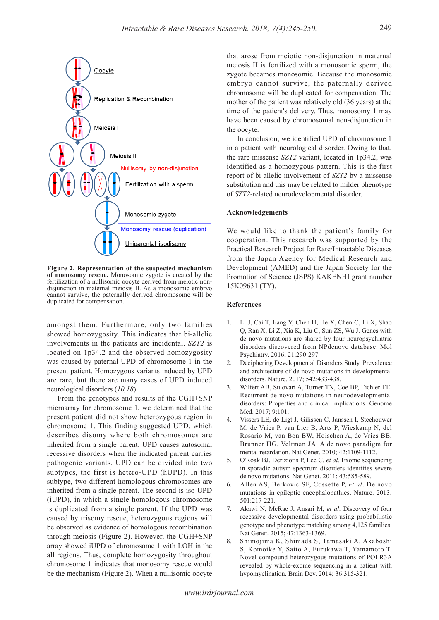

**Figure 2. Representation of the suspected mechanism of monosomy rescue.** Monosomic zygote is created by the fertilization of a nullisomic oocyte derived from meiotic nondisjunction in maternal meiosis II. As a monosomic embryo cannot survive, the paternally derived chromosome will be duplicated for compensation.

amongst them. Furthermore, only two families showed homozygosity. This indicates that bi-allelic involvements in the patients are incidental. *SZT2* is located on 1p34.2 and the observed homozygosity was caused by paternal UPD of chromosome 1 in the present patient. Homozygous variants induced by UPD are rare, but there are many cases of UPD induced neurological disorders (*10,18*).

From the genotypes and results of the CGH+SNP microarray for chromosome 1, we determined that the present patient did not show heterozygous region in chromosome 1. This finding suggested UPD, which describes disomy where both chromosomes are inherited from a single parent. UPD causes autosomal recessive disorders when the indicated parent carries pathogenic variants. UPD can be divided into two subtypes, the first is hetero-UPD (hUPD). In this subtype, two different homologous chromosomes are inherited from a single parent. The second is iso-UPD (iUPD), in which a single homologous chromosome is duplicated from a single parent. If the UPD was caused by trisomy rescue, heterozygous regions will be observed as evidence of homologous recombination through meiosis (Figure 2). However, the CGH+SNP array showed iUPD of chromosome 1 with LOH in the all regions. Thus, complete homozygosity throughout chromosome 1 indicates that monosomy rescue would be the mechanism (Figure 2). When a nullisomic oocyte

that arose from meiotic non-disjunction in maternal meiosis II is fertilized with a monosomic sperm, the zygote becames monosomic. Because the monosomic embryo cannot survive, the paternally derived chromosome will be duplicated for compensation. The mother of the patient was relatively old (36 years) at the time of the patient's delivery. Thus, monosomy 1 may have been caused by chromosomal non-disjunction in the oocyte.

In conclusion, we identified UPD of chromosome 1 in a patient with neurological disorder. Owing to that, the rare missense *SZT2* variant, located in 1p34.2, was identified as a homozygous pattern. This is the first report of bi-allelic involvement of *SZT2* by a missense substitution and this may be related to milder phenotype of *SZT2*-related neurodevelopmental disorder.

#### **Acknowledgements**

We would like to thank the patient's family for cooperation. This research was supported by the Practical Research Project for Rare/Intractable Diseases from the Japan Agency for Medical Research and Development (AMED) and the Japan Society for the Promotion of Science (JSPS) KAKENHI grant number 15K09631 (TY).

#### **References**

- 1. Li J, Cai T, Jiang Y, Chen H, He X, Chen C, Li X, Shao Q, Ran X, Li Z, Xia K, Liu C, Sun ZS, Wu J. Genes with de novo mutations are shared by four neuropsychiatric disorders discovered from NPdenovo database. Mol Psychiatry. 2016; 21:290-297.
- 2. Deciphering Developmental Disorders Study. Prevalence and architecture of de novo mutations in developmental disorders. Nature. 2017; 542:433-438.
- 3. Wilfert AB, Sulovari A, Turner TN, Coe BP, Eichler EE. Recurrent de novo mutations in neurodevelopmental disorders: Properties and clinical implications. Genome Med. 2017; 9:101.
- 4. Vissers LE, de Ligt J, Gilissen C, Janssen I, Steehouwer M, de Vries P, van Lier B, Arts P, Wieskamp N, del Rosario M, van Bon BW, Hoischen A, de Vries BB, Brunner HG, Veltman JA. A de novo paradigm for mental retardation. Nat Genet. 2010; 42:1109-1112.
- 5. O'Roak BJ, Deriziotis P, Lee C, *et al*. Exome sequencing in sporadic autism spectrum disorders identifies severe de novo mutations. Nat Genet. 2011; 43:585-589.
- 6. Allen AS, Berkovic SF, Cossette P, *et al*. De novo mutations in epileptic encephalopathies. Nature. 2013; 501:217-221.
- 7. Akawi N, McRae J, Ansari M, *et al*. Discovery of four recessive developmental disorders using probabilistic genotype and phenotype matching among 4,125 families. Nat Genet. 2015; 47:1363-1369.
- 8. Shimojima K, Shimada S, Tamasaki A, Akaboshi S, Komoike Y, Saito A, Furukawa T, Yamamoto T. Novel compound heterozygous mutations of POLR3A revealed by whole-exome sequencing in a patient with hypomyelination. Brain Dev. 2014; 36:315-321.